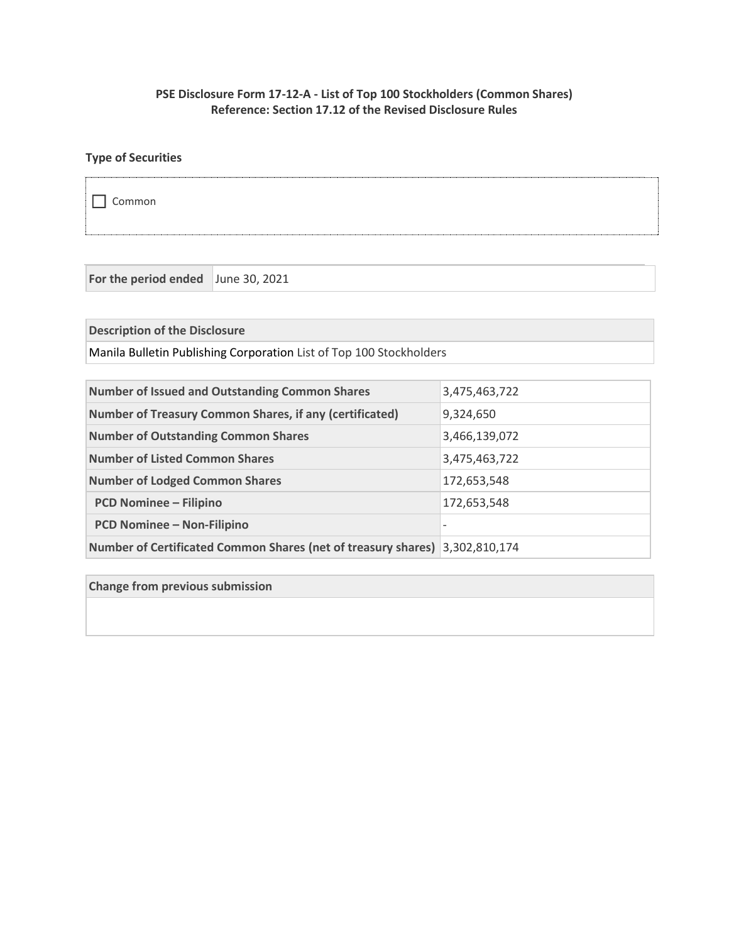## **PSE Disclosure Form 17-12-A - List of Top 100 Stockholders (Common Shares) Reference: Section 17.12 of the Revised Disclosure Rules**

# **Type of Securities**

Common

**For the period ended** June 30, 2021

**Description of the Disclosure**

Manila Bulletin Publishing Corporation List of Top 100 Stockholders

| <b>Number of Issued and Outstanding Common Shares</b>                       | 3,475,463,722            |
|-----------------------------------------------------------------------------|--------------------------|
| <b>Number of Treasury Common Shares, if any (certificated)</b>              | 9,324,650                |
| <b>Number of Outstanding Common Shares</b>                                  | 3,466,139,072            |
| <b>Number of Listed Common Shares</b>                                       | 3,475,463,722            |
| <b>Number of Lodged Common Shares</b>                                       | 172,653,548              |
| <b>PCD Nominee - Filipino</b>                                               | 172,653,548              |
| <b>PCD Nominee - Non-Filipino</b>                                           | $\overline{\phantom{0}}$ |
| Number of Certificated Common Shares (net of treasury shares) 3,302,810,174 |                          |

**Change from previous submission**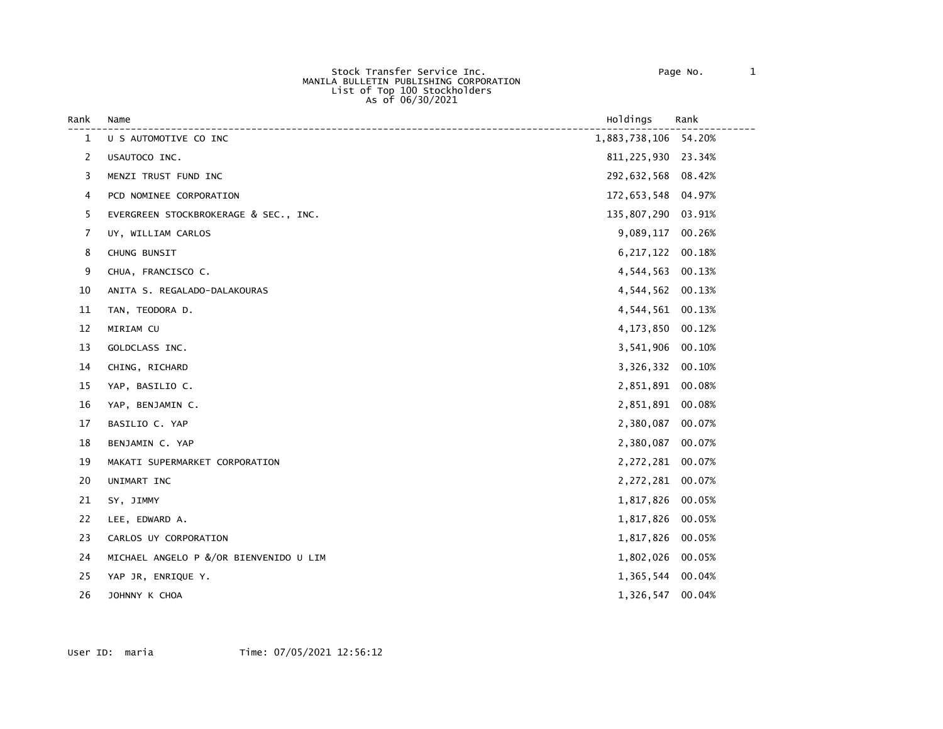Stock Transfer Service Inc. Page No. 1 MANILA BULLETIN PUBLISHING CORPORATION List of Top 100 Stockholders As of 06/30/2021

| Rank         | Name                                   | Holdings             | Rank   |
|--------------|----------------------------------------|----------------------|--------|
| $\mathbf{1}$ | U S AUTOMOTIVE CO INC                  | 1,883,738,106 54.20% |        |
| 2            | USAUTOCO INC.                          | 811, 225, 930 23.34% |        |
| 3            | MENZI TRUST FUND INC                   | 292,632,568 08.42%   |        |
| 4            | PCD NOMINEE CORPORATION                | 172,653,548          | 04.97% |
| 5            | EVERGREEN STOCKBROKERAGE & SEC., INC.  | 135,807,290          | 03.91% |
| 7            | UY, WILLIAM CARLOS                     | 9,089,117            | 00.26% |
| 8            | CHUNG BUNSIT                           | 6, 217, 122 00. 18%  |        |
| 9            | CHUA, FRANCISCO C.                     | 4,544,563            | 00.13% |
| 10           | ANITA S. REGALADO-DALAKOURAS           | 4,544,562            | 00.13% |
| 11           | TAN, TEODORA D.                        | 4,544,561            | 00.13% |
| 12           | MIRIAM CU                              | 4,173,850            | 00.12% |
| 13           | GOLDCLASS INC.                         | 3,541,906            | 00.10% |
| 14           | CHING, RICHARD                         | 3,326,332            | 00.10% |
| 15           | YAP, BASILIO C.                        | 2,851,891            | 00.08% |
| 16           | YAP, BENJAMIN C.                       | 2,851,891            | 00.08% |
| 17           | BASILIO C. YAP                         | 2,380,087            | 00.07% |
| 18           | BENJAMIN C. YAP                        | 2,380,087            | 00.07% |
| 19           | MAKATI SUPERMARKET CORPORATION         | 2,272,281 00.07%     |        |
| 20           | UNIMART INC                            | 2,272,281            | 00.07% |
| 21           | SY, JIMMY                              | 1,817,826            | 00.05% |
| 22           | LEE, EDWARD A.                         | 1,817,826            | 00.05% |
| 23           | CARLOS UY CORPORATION                  | 1,817,826            | 00.05% |
| 24           | MICHAEL ANGELO P &/OR BIENVENIDO U LIM | 1,802,026 00.05%     |        |
| 25           | YAP JR, ENRIQUE Y.                     | 1,365,544            | 00.04% |
| 26           | JOHNNY K CHOA                          | 1,326,547 00.04%     |        |
|              |                                        |                      |        |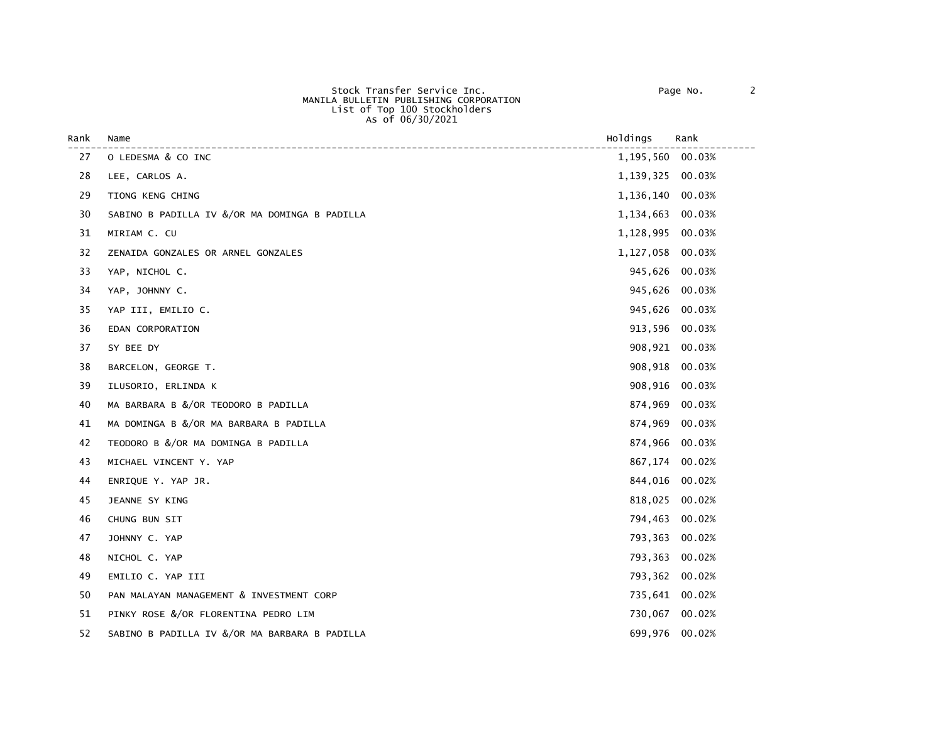| Rank | Name                                          | Holdings       | Rank   |
|------|-----------------------------------------------|----------------|--------|
| 27   | O LEDESMA & CO INC                            | 1,195,560      | 00.03% |
| 28   | LEE, CARLOS A.                                | 1,139,325      | 00.03% |
| 29   | TIONG KENG CHING                              | 1,136,140      | 00.03% |
| 30   | SABINO B PADILLA IV &/OR MA DOMINGA B PADILLA | 1,134,663      | 00.03% |
| 31   | MIRIAM C. CU                                  | 1,128,995      | 00.03% |
| 32   | ZENAIDA GONZALES OR ARNEL GONZALES            | 1,127,058      | 00.03% |
| 33   | YAP, NICHOL C.                                | 945,626        | 00.03% |
| 34   | YAP, JOHNNY C.                                | 945,626        | 00.03% |
| 35   | YAP III, EMILIO C.                            | 945,626        | 00.03% |
| 36   | EDAN CORPORATION                              | 913,596        | 00.03% |
| 37   | SY BEE DY                                     | 908,921        | 00.03% |
| 38   | BARCELON, GEORGE T.                           | 908,918        | 00.03% |
| 39   | ILUSORIO, ERLINDA K                           | 908,916        | 00.03% |
| 40   | MA BARBARA B &/OR TEODORO B PADILLA           | 874,969        | 00.03% |
| 41   | MA DOMINGA B &/OR MA BARBARA B PADILLA        | 874,969        | 00.03% |
| 42   | TEODORO B &/OR MA DOMINGA B PADILLA           | 874,966        | 00.03% |
| 43   | MICHAEL VINCENT Y. YAP                        | 867,174        | 00.02% |
| 44   | ENRIQUE Y. YAP JR.                            | 844,016        | 00.02% |
| 45   | JEANNE SY KING                                | 818,025        | 00.02% |
| 46   | CHUNG BUN SIT                                 | 794,463        | 00.02% |
| 47   | JOHNNY C. YAP                                 | 793,363        | 00.02% |
| 48   | NICHOL C. YAP                                 | 793,363        | 00.02% |
| 49   | EMILIO C. YAP III                             | 793,362        | 00.02% |
| 50   | PAN MALAYAN MANAGEMENT & INVESTMENT CORP      | 735,641 00.02% |        |
| 51   | PINKY ROSE &/OR FLORENTINA PEDRO LIM          | 730,067        | 00.02% |
| 52   | SABINO B PADILLA IV &/OR MA BARBARA B PADILLA | 699,976        | 00.02% |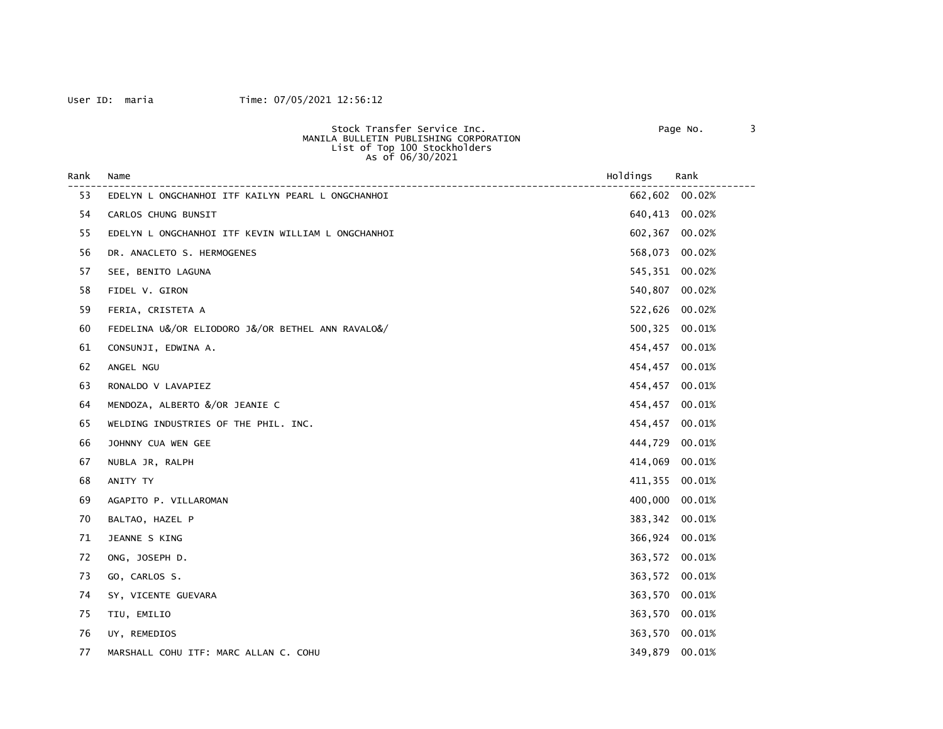### User ID: maria Time: 07/05/2021 12:56:12

Stock Transfer Service Inc. Page No. 3

| MANILA BULLETIN PUBLISHING CORPORATION<br>List of Top 100 Stockholders<br>As of 06/30/2021 |                                                    |          |        |
|--------------------------------------------------------------------------------------------|----------------------------------------------------|----------|--------|
| Rank                                                                                       | Name                                               | Holdings | Rank   |
| 53                                                                                         | EDELYN L ONGCHANHOI ITF KAILYN PEARL L ONGCHANHOI  | 662,602  | 00.02% |
| 54                                                                                         | CARLOS CHUNG BUNSIT                                | 640,413  | 00.02% |
| 55                                                                                         | EDELYN L ONGCHANHOI ITF KEVIN WILLIAM L ONGCHANHOI | 602,367  | 00.02% |
| 56                                                                                         | DR. ANACLETO S. HERMOGENES                         | 568,073  | 00.02% |
| 57                                                                                         | SEE, BENITO LAGUNA                                 | 545,351  | 00.02% |
| 58                                                                                         | FIDEL V. GIRON                                     | 540,807  | 00.02% |
| 59                                                                                         | FERIA, CRISTETA A                                  | 522,626  | 00.02% |
| 60                                                                                         | FEDELINA U&/OR ELIODORO J&/OR BETHEL ANN RAVALO&/  | 500,325  | 00.01% |
| 61                                                                                         | CONSUNJI, EDWINA A.                                | 454,457  | 00.01% |
| 62                                                                                         | ANGEL NGU                                          | 454,457  | 00.01% |
| 63                                                                                         | RONALDO V LAVAPIEZ                                 | 454,457  | 00.01% |
| 64                                                                                         | MENDOZA, ALBERTO &/OR JEANIE C                     | 454,457  | 00.01% |
| 65                                                                                         | WELDING INDUSTRIES OF THE PHIL. INC.               | 454,457  | 00.01% |
| 66                                                                                         | JOHNNY CUA WEN GEE                                 | 444,729  | 00.01% |
| 67                                                                                         | NUBLA JR, RALPH                                    | 414,069  | 00.01% |
| 68                                                                                         | ANITY TY                                           | 411,355  | 00.01% |
| 69                                                                                         | AGAPITO P. VILLAROMAN                              | 400,000  | 00.01% |
| 70                                                                                         | BALTAO, HAZEL P                                    | 383,342  | 00.01% |
| 71                                                                                         | JEANNE S KING                                      | 366,924  | 00.01% |
| 72                                                                                         | ONG, JOSEPH D.                                     | 363,572  | 00.01% |
| 73                                                                                         | GO, CARLOS S.                                      | 363,572  | 00.01% |
| 74                                                                                         | SY, VICENTE GUEVARA                                | 363,570  | 00.01% |
| 75                                                                                         | TIU, EMILIO                                        | 363,570  | 00.01% |
| 76                                                                                         | UY, REMEDIOS                                       | 363,570  | 00.01% |
| 77                                                                                         | MARSHALL COHU ITF: MARC ALLAN C. COHU              | 349,879  | 00.01% |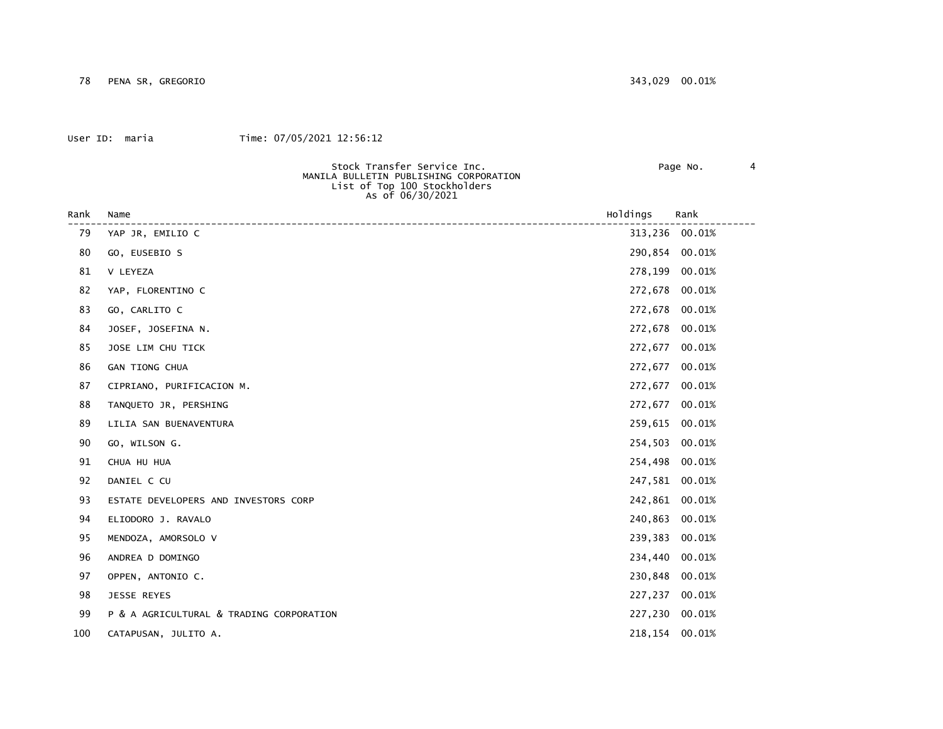### User ID: maria Time: 07/05/2021 12:56:12

#### Stock Transfer Service Inc. Page No. 4

| Rank | Name                                     | Holdings | Rank           |
|------|------------------------------------------|----------|----------------|
| 79   | YAP JR, EMILIO C                         | 313,236  | 00.01%         |
| 80   | GO, EUSEBIO S                            | 290,854  | 00.01%         |
| 81   | V LEYEZA                                 | 278,199  | 00.01%         |
| 82   |                                          |          |                |
|      | YAP, FLORENTINO C                        | 272,678  | 00.01%         |
| 83   | GO, CARLITO C                            | 272,678  | 00.01%         |
| 84   | JOSEF, JOSEFINA N.                       | 272,678  | 00.01%         |
| 85   | JOSE LIM CHU TICK                        | 272,677  | 00.01%         |
| 86   | GAN TIONG CHUA                           | 272,677  | 00.01%         |
| 87   | CIPRIANO, PURIFICACION M.                | 272,677  | 00.01%         |
| 88   | TANQUETO JR, PERSHING                    | 272,677  | 00.01%         |
| 89   | LILIA SAN BUENAVENTURA                   | 259,615  | 00.01%         |
| 90   | GO, WILSON G.                            | 254,503  | 00.01%         |
| 91   | CHUA HU HUA                              | 254,498  | 00.01%         |
| 92   | DANIEL C CU                              | 247,581  | 00.01%         |
| 93   | ESTATE DEVELOPERS AND INVESTORS CORP     | 242,861  | 00.01%         |
| 94   | ELIODORO J. RAVALO                       | 240,863  | 00.01%         |
| 95   | MENDOZA, AMORSOLO V                      | 239,383  | 00.01%         |
| 96   | ANDREA D DOMINGO                         | 234,440  | 00.01%         |
| 97   | OPPEN, ANTONIO C.                        | 230,848  | 00.01%         |
| 98   | JESSE REYES                              | 227,237  | 00.01%         |
| 99   | P & A AGRICULTURAL & TRADING CORPORATION |          | 227,230 00.01% |

100 CATAPUSAN, JULITO A. 218,154 00.01%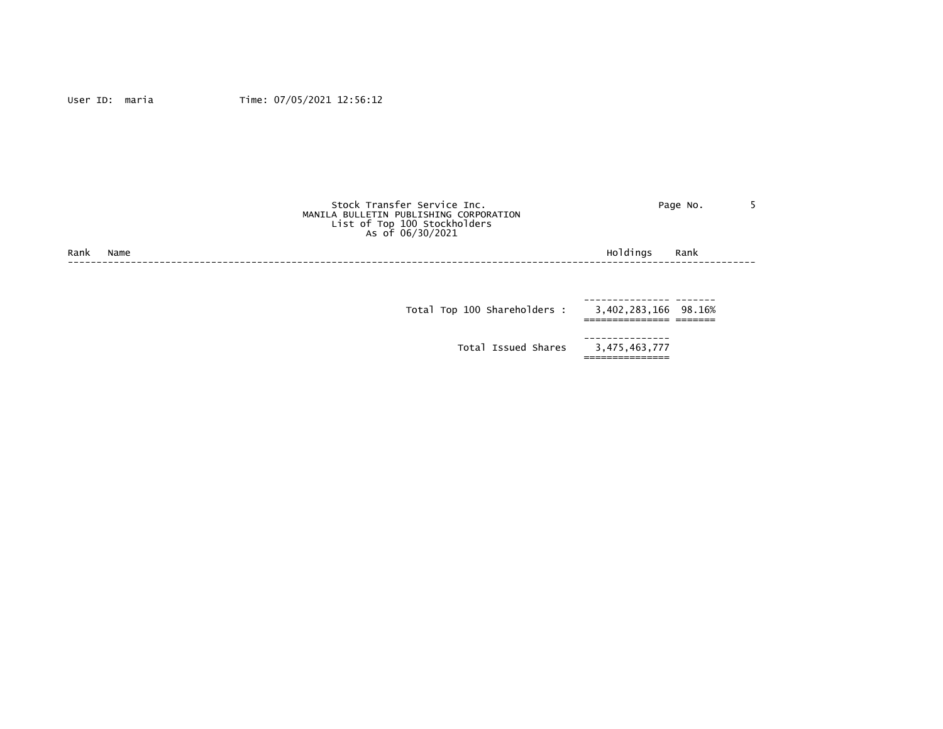|      |      | Stock Transfer Service Inc.<br>MANILA BULLETIN PUBLISHING CORPORATION<br>List of Top 100 Stockholders<br>As of 06/30/2021 |                               | Page No. |  |
|------|------|---------------------------------------------------------------------------------------------------------------------------|-------------------------------|----------|--|
| Rank | Name |                                                                                                                           | Holdings                      | Rank     |  |
|      |      |                                                                                                                           |                               |          |  |
|      |      | Total Top 100 Shareholders :                                                                                              | 3,402,283,166 98.16%          |          |  |
|      |      | Total Issued Shares                                                                                                       | ------------<br>3,475,463,777 |          |  |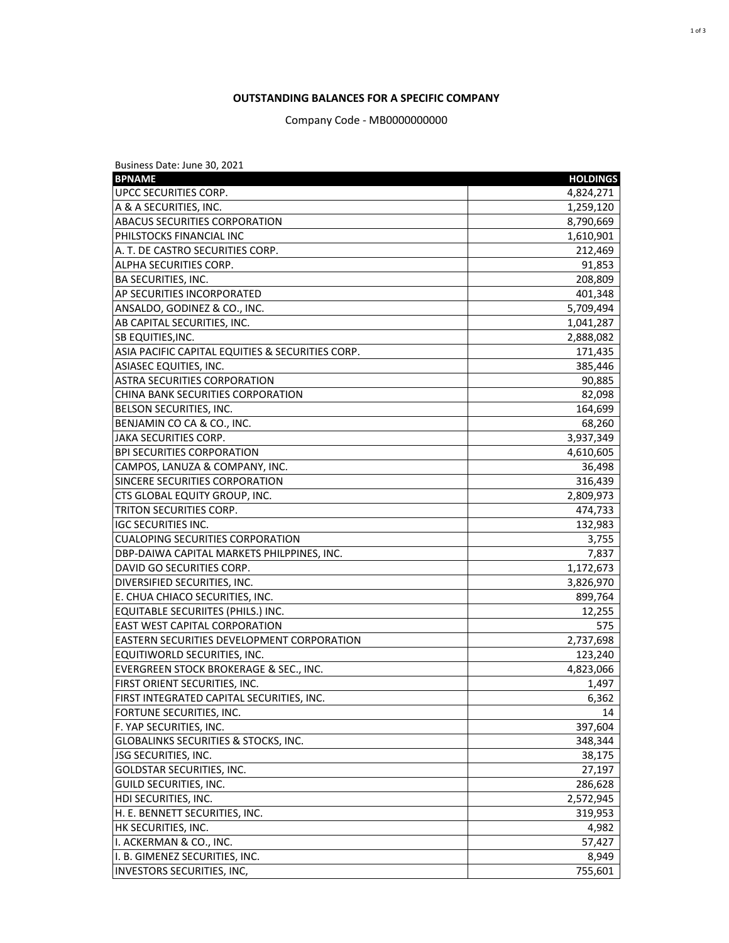## **OUTSTANDING BALANCES FOR A SPECIFIC COMPANY**

Company Code - MB0000000000

| Business Date: June 30, 2021                      |                 |
|---------------------------------------------------|-----------------|
| <b>BPNAME</b>                                     | <b>HOLDINGS</b> |
| <b>UPCC SECURITIES CORP.</b>                      | 4,824,271       |
| A & A SECURITIES, INC.                            | 1,259,120       |
| <b>ABACUS SECURITIES CORPORATION</b>              | 8,790,669       |
| PHILSTOCKS FINANCIAL INC                          | 1,610,901       |
| A. T. DE CASTRO SECURITIES CORP.                  | 212,469         |
| ALPHA SECURITIES CORP.                            | 91,853          |
| BA SECURITIES, INC.                               | 208,809         |
| AP SECURITIES INCORPORATED                        | 401,348         |
| ANSALDO, GODINEZ & CO., INC.                      | 5,709,494       |
| AB CAPITAL SECURITIES, INC.                       | 1,041,287       |
| SB EQUITIES, INC.                                 | 2,888,082       |
| ASIA PACIFIC CAPITAL EQUITIES & SECURITIES CORP.  | 171,435         |
| ASIASEC EQUITIES, INC.                            | 385,446         |
| ASTRA SECURITIES CORPORATION                      | 90,885          |
| CHINA BANK SECURITIES CORPORATION                 | 82,098          |
| BELSON SECURITIES, INC.                           | 164,699         |
| BENJAMIN CO CA & CO., INC.                        | 68,260          |
| JAKA SECURITIES CORP.                             | 3,937,349       |
| <b>BPI SECURITIES CORPORATION</b>                 | 4,610,605       |
| CAMPOS, LANUZA & COMPANY, INC.                    | 36,498          |
| SINCERE SECURITIES CORPORATION                    | 316,439         |
| CTS GLOBAL EQUITY GROUP, INC.                     | 2,809,973       |
| TRITON SECURITIES CORP.                           | 474,733         |
| <b>IGC SECURITIES INC.</b>                        | 132,983         |
| <b>CUALOPING SECURITIES CORPORATION</b>           | 3,755           |
| DBP-DAIWA CAPITAL MARKETS PHILPPINES, INC.        | 7,837           |
| DAVID GO SECURITIES CORP.                         | 1,172,673       |
| DIVERSIFIED SECURITIES, INC.                      | 3,826,970       |
| E. CHUA CHIACO SECURITIES, INC.                   | 899,764         |
| EQUITABLE SECURIITES (PHILS.) INC.                | 12,255          |
| <b>EAST WEST CAPITAL CORPORATION</b>              | 575             |
| <b>EASTERN SECURITIES DEVELOPMENT CORPORATION</b> | 2,737,698       |
| EQUITIWORLD SECURITIES, INC.                      | 123,240         |
| EVERGREEN STOCK BROKERAGE & SEC., INC.            | 4,823,066       |
| FIRST ORIENT SECURITIES, INC.                     | 1,497           |
| FIRST INTEGRATED CAPITAL SECURITIES, INC.         | 6,362           |
| FORTUNE SECURITIES, INC.                          | 14              |
| F. YAP SECURITIES, INC.                           | 397,604         |
| <b>GLOBALINKS SECURITIES &amp; STOCKS, INC.</b>   | 348,344         |
| <b>JSG SECURITIES, INC.</b>                       | 38,175          |
| <b>GOLDSTAR SECURITIES, INC.</b>                  | 27,197          |
| GUILD SECURITIES, INC.                            | 286,628         |
| <b>HDI SECURITIES, INC.</b>                       | 2,572,945       |
| H. E. BENNETT SECURITIES, INC.                    | 319,953         |
| HK SECURITIES, INC.                               | 4,982           |
| I. ACKERMAN & CO., INC.                           | 57,427          |
| I. B. GIMENEZ SECURITIES, INC.                    | 8,949           |
| <b>INVESTORS SECURITIES, INC,</b>                 | 755,601         |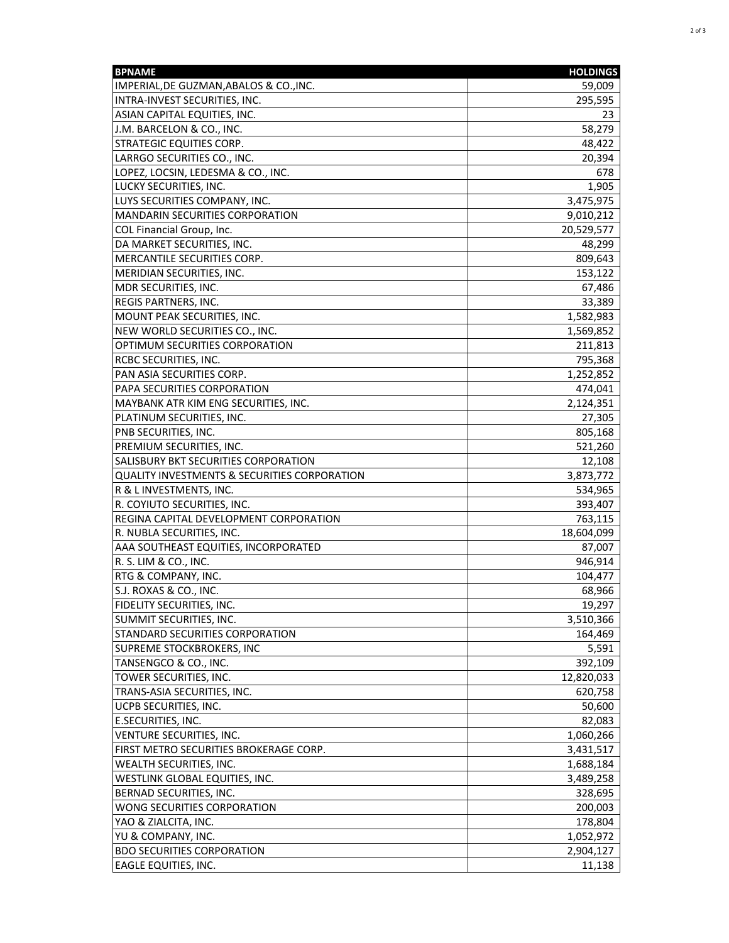| <b>BPNAME</b>                                           | <b>HOLDINGS</b> |
|---------------------------------------------------------|-----------------|
| IMPERIAL, DE GUZMAN, ABALOS & CO., INC.                 | 59,009          |
| INTRA-INVEST SECURITIES, INC.                           | 295,595         |
| ASIAN CAPITAL EQUITIES, INC.                            | 23              |
| J.M. BARCELON & CO., INC.                               | 58,279          |
| <b>STRATEGIC EQUITIES CORP.</b>                         | 48,422          |
| LARRGO SECURITIES CO., INC.                             | 20,394          |
| LOPEZ, LOCSIN, LEDESMA & CO., INC.                      | 678             |
| LUCKY SECURITIES, INC.                                  | 1,905           |
| LUYS SECURITIES COMPANY, INC.                           | 3,475,975       |
| <b>MANDARIN SECURITIES CORPORATION</b>                  | 9,010,212       |
| COL Financial Group, Inc.                               | 20,529,577      |
| DA MARKET SECURITIES, INC.                              | 48,299          |
| MERCANTILE SECURITIES CORP.                             | 809,643         |
| MERIDIAN SECURITIES, INC.                               | 153,122         |
| MDR SECURITIES, INC.                                    | 67,486          |
| REGIS PARTNERS, INC.                                    | 33,389          |
| MOUNT PEAK SECURITIES, INC.                             | 1,582,983       |
| NEW WORLD SECURITIES CO., INC.                          | 1,569,852       |
| OPTIMUM SECURITIES CORPORATION                          | 211,813         |
| <b>RCBC SECURITIES, INC.</b>                            | 795,368         |
| PAN ASIA SECURITIES CORP.                               | 1,252,852       |
| PAPA SECURITIES CORPORATION                             | 474,041         |
| MAYBANK ATR KIM ENG SECURITIES, INC.                    | 2,124,351       |
| PLATINUM SECURITIES, INC.                               | 27,305          |
| PNB SECURITIES, INC.                                    | 805,168         |
| PREMIUM SECURITIES, INC.                                | 521,260         |
| SALISBURY BKT SECURITIES CORPORATION                    | 12,108          |
| <b>QUALITY INVESTMENTS &amp; SECURITIES CORPORATION</b> | 3,873,772       |
| R & L INVESTMENTS, INC.                                 | 534,965         |
| R. COYIUTO SECURITIES, INC.                             | 393,407         |
| REGINA CAPITAL DEVELOPMENT CORPORATION                  | 763,115         |
| R. NUBLA SECURITIES, INC.                               | 18,604,099      |
| AAA SOUTHEAST EQUITIES, INCORPORATED                    | 87,007          |
| R. S. LIM & CO., INC.                                   | 946,914         |
| RTG & COMPANY, INC.                                     | 104,477         |
| S.J. ROXAS & CO., INC.                                  | 68,966          |
| FIDELITY SECURITIES, INC.                               | 19,297          |
| SUMMIT SECURITIES, INC.                                 | 3,510,366       |
| STANDARD SECURITIES CORPORATION                         | 164,469         |
| SUPREME STOCKBROKERS, INC                               | 5,591           |
| TANSENGCO & CO., INC.                                   | 392,109         |
| TOWER SECURITIES, INC.                                  | 12,820,033      |
| TRANS-ASIA SECURITIES, INC.                             | 620,758         |
| UCPB SECURITIES, INC.                                   | 50,600          |
| <b>E.SECURITIES, INC.</b>                               | 82,083          |
| VENTURE SECURITIES, INC.                                | 1,060,266       |
| FIRST METRO SECURITIES BROKERAGE CORP.                  | 3,431,517       |
| WEALTH SECURITIES, INC.                                 | 1,688,184       |
| WESTLINK GLOBAL EQUITIES, INC.                          | 3,489,258       |
| BERNAD SECURITIES, INC.                                 | 328,695         |
| WONG SECURITIES CORPORATION                             | 200,003         |
| YAO & ZIALCITA, INC.                                    | 178,804         |
| YU & COMPANY, INC.                                      | 1,052,972       |
| <b>BDO SECURITIES CORPORATION</b>                       | 2,904,127       |
| <b>EAGLE EQUITIES, INC.</b>                             | 11,138          |
|                                                         |                 |